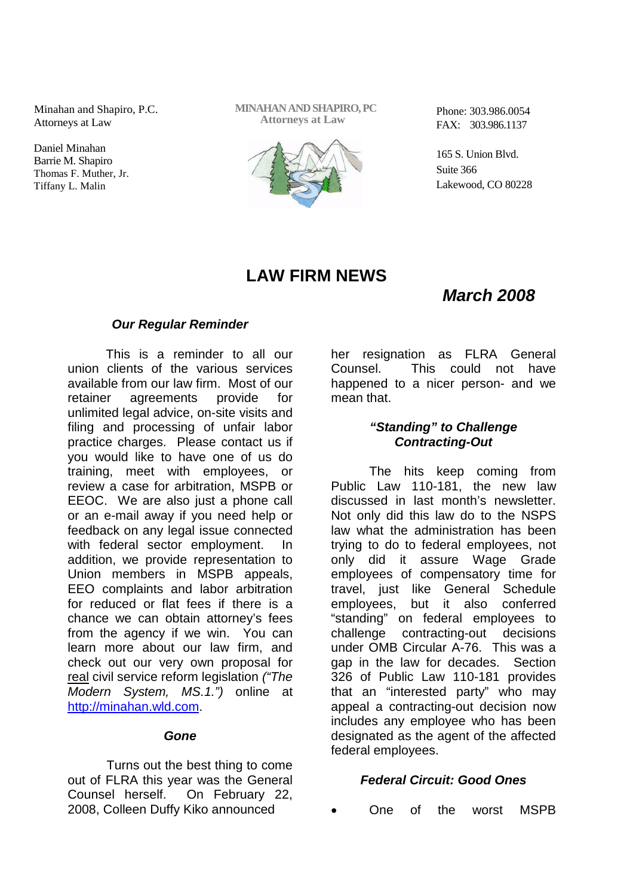Minahan and Shapiro, P.C. Attorneys at Law

Daniel Minahan Barrie M. Shapiro Thomas F. Muther, Jr. Tiffany L. Malin

**MINAHANANDSHAPIRO, PC Attorneys at Law**



Phone: 303.986.0054 FAX: 303.986.1137

165 S. Union Blvd. Suite 366 Lakewood, CO 80228

# **LAW FIRM NEWS**

## *March 2008*

### *Our Regular Reminder*

This is a reminder to all our union clients of the various services available from our law firm. Most of our retainer agreements provide for unlimited legal advice, on-site visits and filing and processing of unfair labor practice charges. Please contact us if you would like to have one of us do training, meet with employees, or review a case for arbitration, MSPB or EEOC. We are also just a phone call or an e-mail away if you need help or feedback on any legal issue connected with federal sector employment. In addition, we provide representation to Union members in MSPB appeals, EEO complaints and labor arbitration for reduced or flat fees if there is a chance we can obtain attorney's fees from the agency if we win. You can learn more about our law firm, and check out our very own proposal for real civil service reform legislation *("The Modern System, MS.1.")* online at http://minahan.wld.com.

#### *Gone*

Turns out the best thing to come out of FLRA this year was the General Counsel herself. On February 22, 2008, Colleen Duffy Kiko announced

her resignation as FLRA General Counsel. This could not have happened to a nicer person- and we mean that.

### *"Standing" to Challenge Contracting-Out*

The hits keep coming from Public Law 110-181, the new law discussed in last month's newsletter. Not only did this law do to the NSPS law what the administration has been trying to do to federal employees, not only did it assure Wage Grade employees of compensatory time for travel, just like General Schedule employees, but it also conferred "standing" on federal employees to challenge contracting-out decisions under OMB Circular A-76. This was a gap in the law for decades. Section 326 of Public Law 110-181 provides that an "interested party" who may appeal a contracting-out decision now includes any employee who has been designated as the agent of the affected federal employees.

### *Federal Circuit: Good Ones*

One of the worst MSPB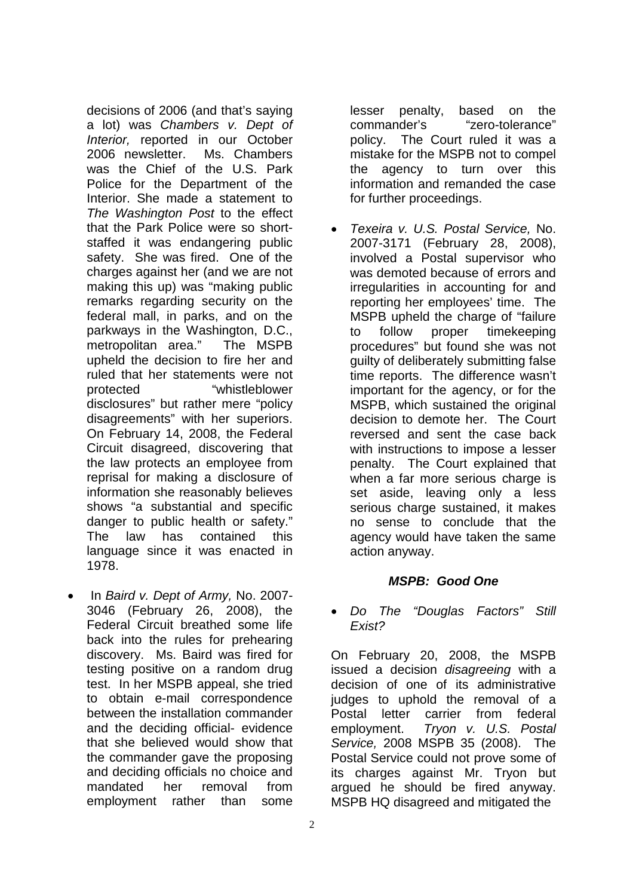decisions of 2006 (and that's saying a lot) was *Chambers v. Dept of Interior,* reported in our October 2006 newsletter. Ms. Chambers was the Chief of the U.S. Park Police for the Department of the Interior. She made a statement to *The Washington Post* to the effect that the Park Police were so shortstaffed it was endangering public safety. She was fired. One of the charges against her (and we are not making this up) was "making public remarks regarding security on the federal mall, in parks, and on the parkways in the Washington, D.C., metropolitan area." The MSPB upheld the decision to fire her and ruled that her statements were not protected "whistleblower disclosures" but rather mere "policy disagreements" with her superiors. On February 14, 2008, the Federal Circuit disagreed, discovering that the law protects an employee from reprisal for making a disclosure of information she reasonably believes shows "a substantial and specific danger to public health or safety." The law has contained this language since it was enacted in 1978.

 In *Baird v. Dept of Army,* No. 2007- 3046 (February 26, 2008), the Federal Circuit breathed some life back into the rules for prehearing discovery. Ms. Baird was fired for testing positive on a random drug test. In her MSPB appeal, she tried to obtain e-mail correspondence between the installation commander and the deciding official- evidence that she believed would show that the commander gave the proposing and deciding officials no choice and mandated her removal from employment rather than some

lesser penalty, based on the commander's "zero-tolerance" policy. The Court ruled it was a mistake for the MSPB not to compel the agency to turn over this information and remanded the case for further proceedings.

 *Texeira v. U.S. Postal Service,* No. 2007-3171 (February 28, 2008), involved a Postal supervisor who was demoted because of errors and irregularities in accounting for and reporting her employees' time. The MSPB upheld the charge of "failure to follow proper timekeeping procedures" but found she was not guilty of deliberately submitting false time reports. The difference wasn't important for the agency, or for the MSPB, which sustained the original decision to demote her. The Court reversed and sent the case back with instructions to impose a lesser penalty. The Court explained that when a far more serious charge is set aside, leaving only a less serious charge sustained, it makes no sense to conclude that the agency would have taken the same action anyway.

### *MSPB: Good One*

 *Do The "Douglas Factors" Still Exist?*

On February 20, 2008, the MSPB issued a decision *disagreeing* with a decision of one of its administrative judges to uphold the removal of a Postal letter carrier from federal employment. *Tryon v. U.S. Postal Service,* 2008 MSPB 35 (2008). The Postal Service could not prove some of its charges against Mr. Tryon but argued he should be fired anyway. MSPB HQ disagreed and mitigated the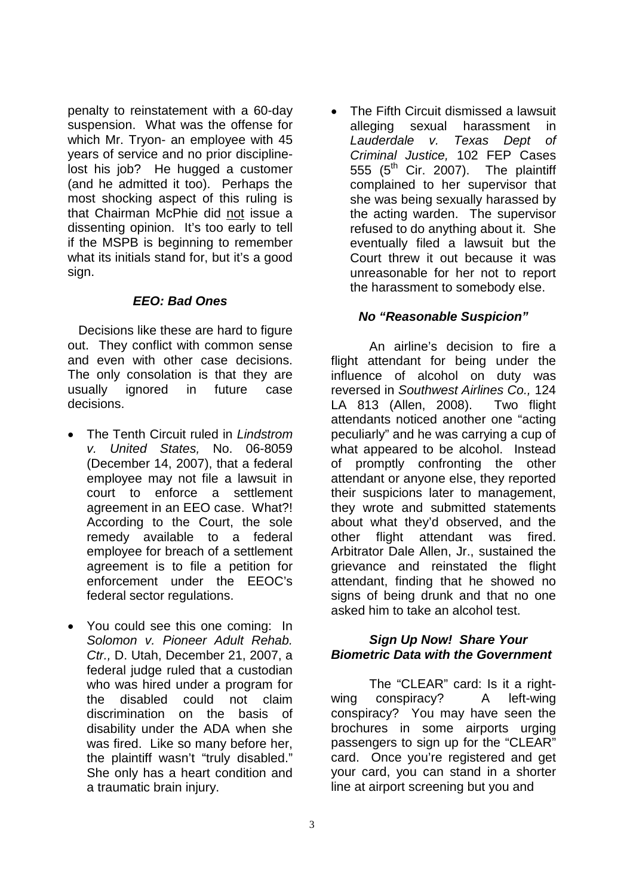penalty to reinstatement with a 60-day suspension. What was the offense for which Mr. Tryon- an employee with 45 years of service and no prior disciplinelost his job? He hugged a customer (and he admitted it too). Perhaps the most shocking aspect of this ruling is that Chairman McPhie did not issue a dissenting opinion. It's too early to tell if the MSPB is beginning to remember what its initials stand for, but it's a good sign.

#### *EEO: Bad Ones*

Decisions like these are hard to figure out. They conflict with common sense and even with other case decisions. The only consolation is that they are usually ignored in future case decisions.

- The Tenth Circuit ruled in *Lindstrom v. United States,* No. 06-8059 (December 14, 2007), that a federal employee may not file a lawsuit in court to enforce a settlement agreement in an EEO case. What?! According to the Court, the sole remedy available to a federal employee for breach of a settlement agreement is to file a petition for enforcement under the EEOC's federal sector regulations.
- You could see this one coming: In *Solomon v. Pioneer Adult Rehab. Ctr.,* D. Utah, December 21, 2007, a federal judge ruled that a custodian who was hired under a program for the disabled could not claim discrimination on the basis of disability under the ADA when she was fired. Like so many before her, the plaintiff wasn't "truly disabled." She only has a heart condition and a traumatic brain injury.

 The Fifth Circuit dismissed a lawsuit alleging sexual harassment in *Lauderdale v. Texas Dept of Criminal Justice,* 102 FEP Cases 555  $(5<sup>th</sup>$  Cir. 2007). The plaintiff complained to her supervisor that she was being sexually harassed by the acting warden. The supervisor refused to do anything about it. She eventually filed a lawsuit but the Court threw it out because it was unreasonable for her not to report the harassment to somebody else.

### *No "Reasonable Suspicion"*

An airline's decision to fire a flight attendant for being under the influence of alcohol on duty was reversed in *Southwest Airlines Co.,* 124 LA 813 (Allen, 2008). Two flight attendants noticed another one "acting peculiarly" and he was carrying a cup of what appeared to be alcohol. Instead of promptly confronting the other attendant or anyone else, they reported their suspicions later to management, they wrote and submitted statements about what they'd observed, and the other flight attendant was fired. Arbitrator Dale Allen, Jr., sustained the grievance and reinstated the flight attendant, finding that he showed no signs of being drunk and that no one asked him to take an alcohol test.

### *Sign Up Now! Share Your Biometric Data with the Government*

The "CLEAR" card: Is it a rightwing conspiracy? A left-wing conspiracy? You may have seen the brochures in some airports urging passengers to sign up for the "CLEAR" card. Once you're registered and get your card, you can stand in a shorter line at airport screening but you and